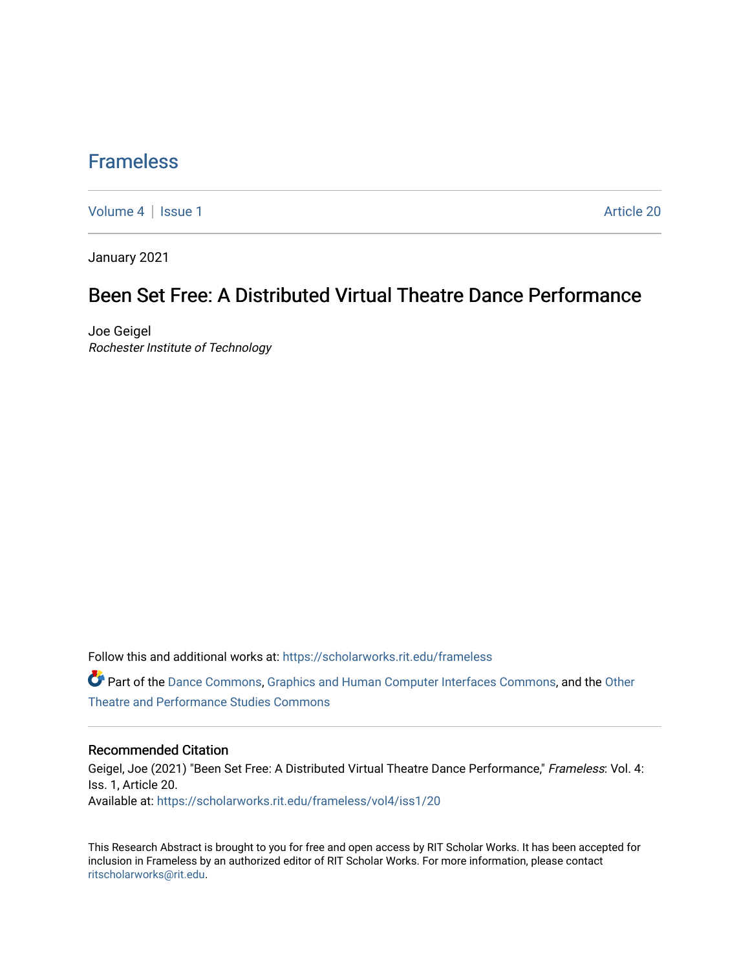## [Frameless](https://scholarworks.rit.edu/frameless)

[Volume 4](https://scholarworks.rit.edu/frameless/vol4) | [Issue 1](https://scholarworks.rit.edu/frameless/vol4/iss1) Article 20

January 2021

## Been Set Free: A Distributed Virtual Theatre Dance Performance

Joe Geigel Rochester Institute of Technology

Follow this and additional works at: [https://scholarworks.rit.edu/frameless](https://scholarworks.rit.edu/frameless?utm_source=scholarworks.rit.edu%2Fframeless%2Fvol4%2Fiss1%2F20&utm_medium=PDF&utm_campaign=PDFCoverPages)

Part of the [Dance Commons,](https://network.bepress.com/hgg/discipline/554?utm_source=scholarworks.rit.edu%2Fframeless%2Fvol4%2Fiss1%2F20&utm_medium=PDF&utm_campaign=PDFCoverPages) [Graphics and Human Computer Interfaces Commons](https://network.bepress.com/hgg/discipline/146?utm_source=scholarworks.rit.edu%2Fframeless%2Fvol4%2Fiss1%2F20&utm_medium=PDF&utm_campaign=PDFCoverPages), and the [Other](https://network.bepress.com/hgg/discipline/558?utm_source=scholarworks.rit.edu%2Fframeless%2Fvol4%2Fiss1%2F20&utm_medium=PDF&utm_campaign=PDFCoverPages) [Theatre and Performance Studies Commons](https://network.bepress.com/hgg/discipline/558?utm_source=scholarworks.rit.edu%2Fframeless%2Fvol4%2Fiss1%2F20&utm_medium=PDF&utm_campaign=PDFCoverPages) 

#### Recommended Citation

Geigel, Joe (2021) "Been Set Free: A Distributed Virtual Theatre Dance Performance," Frameless: Vol. 4: Iss. 1, Article 20. Available at: [https://scholarworks.rit.edu/frameless/vol4/iss1/20](https://scholarworks.rit.edu/frameless/vol4/iss1/20?utm_source=scholarworks.rit.edu%2Fframeless%2Fvol4%2Fiss1%2F20&utm_medium=PDF&utm_campaign=PDFCoverPages) 

This Research Abstract is brought to you for free and open access by RIT Scholar Works. It has been accepted for inclusion in Frameless by an authorized editor of RIT Scholar Works. For more information, please contact [ritscholarworks@rit.edu](mailto:ritscholarworks@rit.edu).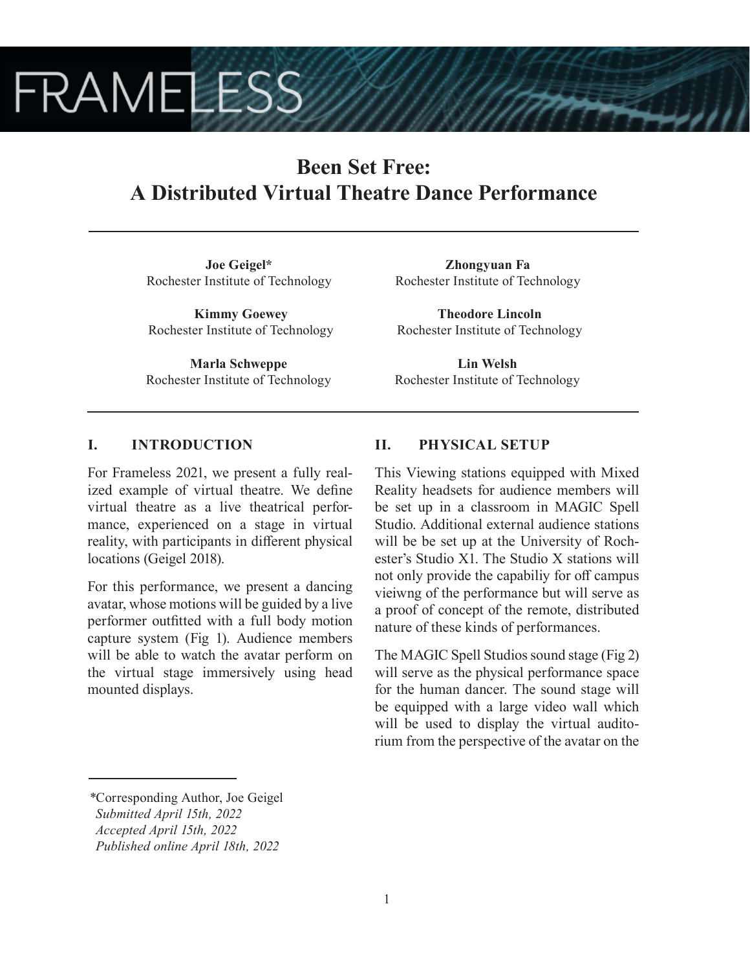# **FRAMELESS**

# **Been Set Free: A Distributed Virtual Theatre Dance Performance**

**Joe Geigel\*** Rochester Institute of Technology

**Kimmy Goewey** Rochester Institute of Technology

**Marla Schweppe** Rochester Institute of Technology

**Zhongyuan Fa** Rochester Institute of Technology

**Theodore Lincoln** Rochester Institute of Technology

**Lin Welsh** Rochester Institute of Technology

## **I. INTRODUCTION**

For Frameless 2021, we present a fully realized example of virtual theatre. We define virtual theatre as a live theatrical performance, experienced on a stage in virtual reality, with participants in different physical locations (Geigel 2018).

For this performance, we present a dancing avatar, whose motions will be guided by a live performer outfitted with a full body motion capture system (Fig 1). Audience members will be able to watch the avatar perform on the virtual stage immersively using head mounted displays.

## **II. PHYSICAL SETUP**

This Viewing stations equipped with Mixed Reality headsets for audience members will be set up in a classroom in MAGIC Spell Studio. Additional external audience stations will be be set up at the University of Rochester's Studio X1. The Studio X stations will not only provide the capabiliy for off campus vieiwng of the performance but will serve as a proof of concept of the remote, distributed nature of these kinds of performances.

The MAGIC Spell Studios sound stage (Fig 2) will serve as the physical performance space for the human dancer. The sound stage will be equipped with a large video wall which will be used to display the virtual auditorium from the perspective of the avatar on the

*<sup>\*</sup>*Corresponding Author, Joe Geigel  *Submitted April 15th, 2022*

*Accepted April 15th, 2022*

*Published online April 18th, 2022*